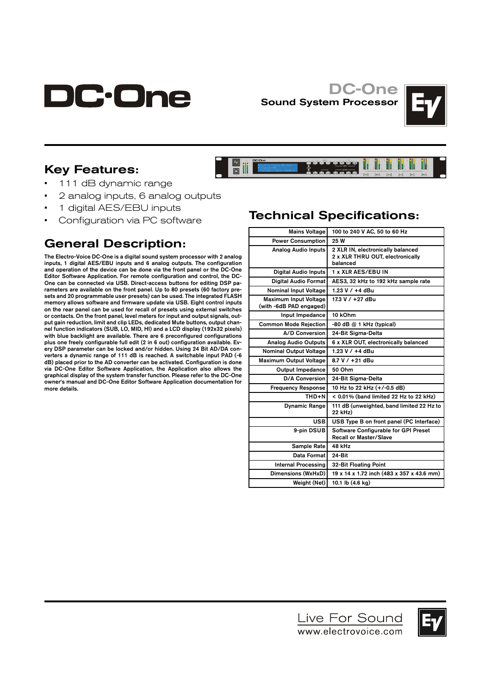

## DC-One Sound System Processor

**E** 



## Key Features:

- 111 dB dynamic range
- 2 analog inputs, 6 analog outputs
- 1 digital AES/EBU inputs
- Configuration via PC software

## General Description:

The Electro-Voice DC-One is a digital sound system processor with 2 analog inputs, 1 digital AES/EBU inputs and 6 analog outputs. The configuration and operation of the device can be done via the front panel or the DC-One Editor Software Application. For remote configuration and control, the DC-One can be connected via USB. Direct-access buttons for editing DSP parameters are available on the front panel. Up to 80 presets (60 factory presets and 20 programmable user presets) can be used. The integrated FLASH memory allows software and firmware update via USB. Eight control inputs on the rear panel can be used for recall of presets using external switches or contacts. On the front panel, level meters for input and output signals, output gain reduction, limit and clip LEDs, dedicated Mute buttons, output channel function indicators (SUB, LO, MID, HI) and a LCD display (192x32 pixels) with blue backlight are available. There are 6 preconfigured configurations plus one freely configurable full edit (2 in 6 out) configuration available. Every DSP parameter can be locked and/or hidden. Using 24 Bit AD/DA converters a dynamic range of 111 dB is reached. A switchable input PAD (-6 dB) placed prior to the AD converter can be activated. Configuration is done via DC-One Editor Software Application, the Application also allows the graphical display of the system transfer function. Please refer to the DC-One owner's manual and DC-One Editor Software Application documentation for more details.

# Technical Specifications:

a ka ba ba j

HITA SELLA SELLA SALATAN<br>HITA SELLA SELLA SELLA SELLA<br>HITA SELLA SELLA SELLA SELLA

| <b>Mains Voltage</b>                                    | 100 to 240 V AC, 50 to 60 Hz                                                      |
|---------------------------------------------------------|-----------------------------------------------------------------------------------|
| <b>Power Consumption</b>                                | 25 W                                                                              |
| <b>Analog Audio Inputs</b>                              | 2 XLR IN, electronically balanced<br>2 x XLR THRU OUT, electronically<br>balanced |
| <b>Digital Audio Inputs</b>                             | 1 x XLR AES/EBU IN                                                                |
| Digital Audio Format                                    | AES3, 32 kHz to 192 kHz sample rate                                               |
| <b>Nominal Input Voltage</b>                            | 1.23 V / +4 dBu                                                                   |
| <b>Maximum Input Voltage</b><br>(with -6dB PAD engaged) | 17.3 V / +27 dBu                                                                  |
| Input Impedance                                         | 10 kOhm                                                                           |
| <b>Common Mode Rejection</b>                            | $-80$ dB $@$ 1 kHz (typical)                                                      |
| A/D Conversion                                          | 24-Bit Sigma-Delta                                                                |
| <b>Analog Audio Outputs</b>                             | 6 x XLR OUT, electronically balanced                                              |
| <b>Nominal Output Voltage</b>                           | 1.23 V / +4 dBu                                                                   |
| <b>Maximum Output Voltage</b>                           | 8.7 V / +21 dBu                                                                   |
| <b>Output Impedance</b>                                 | 50 Ohm                                                                            |
| <b>D/A Conversion</b>                                   | 24-Bit Sigma-Delta                                                                |
| <b>Frequency Response</b>                               | 10 Hz to 22 kHz (+/-0.5 dB)                                                       |
| THD+N                                                   | < 0.01% (band limited 22 Hz to 22 kHz)                                            |
| <b>Dynamic Range</b>                                    | 111 dB (unweighted, band limited 22 Hz to<br>22 kHz)                              |
| <b>USB</b>                                              | USB Type B on front panel (PC Interface)                                          |
| 9-pin DSUB                                              | Software Configurable for GPI Preset<br><b>Recall or Master/Slave</b>             |
| Sample Rate                                             | 48 kHz                                                                            |
| Data Format                                             | 24-Bit                                                                            |
| Internal Processing                                     | 32-Bit Floating Point                                                             |
| Dimensions (WxHxD)                                      | 19 x 14 x 1.72 inch (483 x 357 x 43.6 mm)                                         |
| Weight (Net)                                            | 10.1 lb (4.6 kg)                                                                  |
|                                                         |                                                                                   |